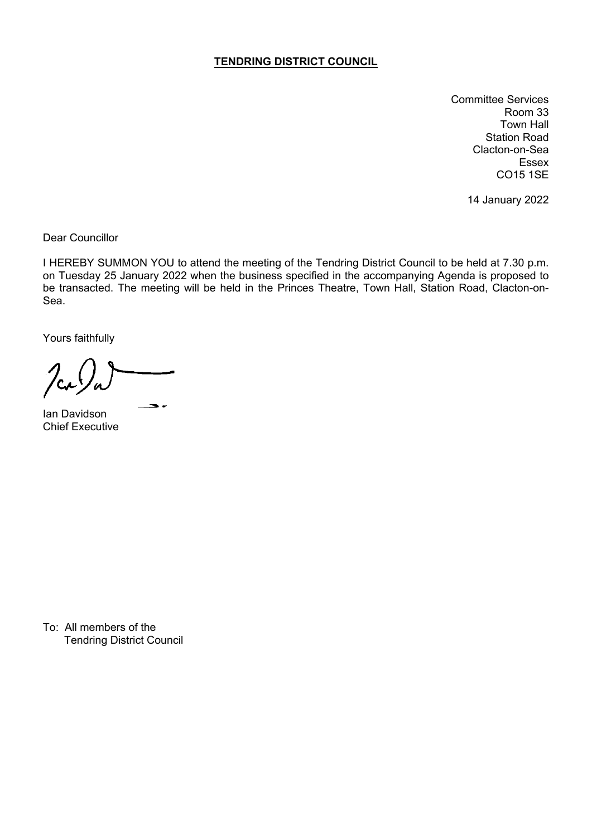## **TENDRING DISTRICT COUNCIL**

Committee Services Room 33 Town Hall Station Road Clacton-on-Sea Essex CO15 1SE

14 January 2022

Dear Councillor

I HEREBY SUMMON YOU to attend the meeting of the Tendring District Council to be held at 7.30 p.m. on Tuesday 25 January 2022 when the business specified in the accompanying Agenda is proposed to be transacted. The meeting will be held in the Princes Theatre, Town Hall, Station Road, Clacton-on-Sea.

Yours faithfully

 $\bullet$ 

Ian Davidson Chief Executive

To: All members of the Tendring District Council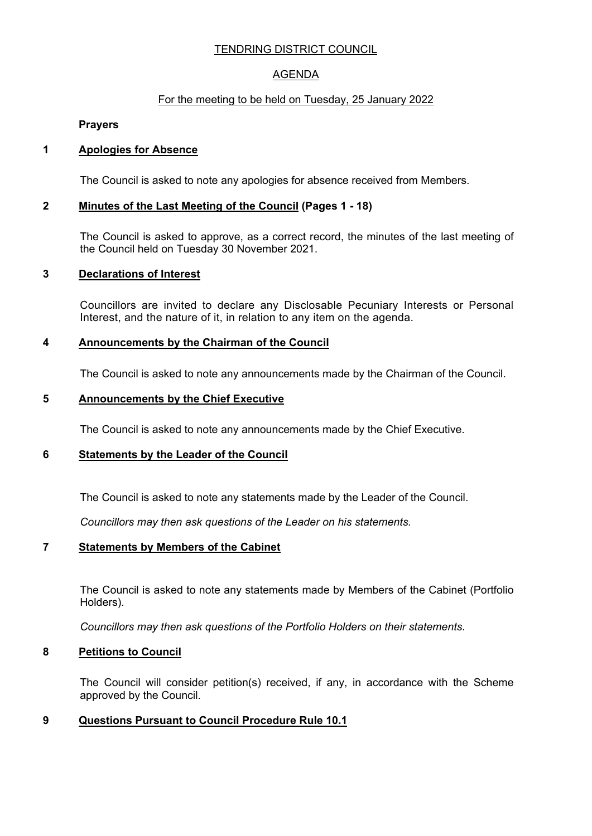# TENDRING DISTRICT COUNCIL

# AGENDA

## For the meeting to be held on Tuesday, 25 January 2022

**Prayers**

## **1 Apologies for Absence**

The Council is asked to note any apologies for absence received from Members.

## **2 Minutes of the Last Meeting of the Council (Pages 1 - 18)**

The Council is asked to approve, as a correct record, the minutes of the last meeting of the Council held on Tuesday 30 November 2021.

## **3 Declarations of Interest**

Councillors are invited to declare any Disclosable Pecuniary Interests or Personal Interest, and the nature of it, in relation to any item on the agenda.

## **4 Announcements by the Chairman of the Council**

The Council is asked to note any announcements made by the Chairman of the Council.

## **5 Announcements by the Chief Executive**

The Council is asked to note any announcements made by the Chief Executive.

## **6 Statements by the Leader of the Council**

The Council is asked to note any statements made by the Leader of the Council.

*Councillors may then ask questions of the Leader on his statements.*

## **7 Statements by Members of the Cabinet**

The Council is asked to note any statements made by Members of the Cabinet (Portfolio Holders).

*Councillors may then ask questions of the Portfolio Holders on their statements.*

## **8 Petitions to Council**

The Council will consider petition(s) received, if any, in accordance with the Scheme approved by the Council.

# **9 Questions Pursuant to Council Procedure Rule 10.1**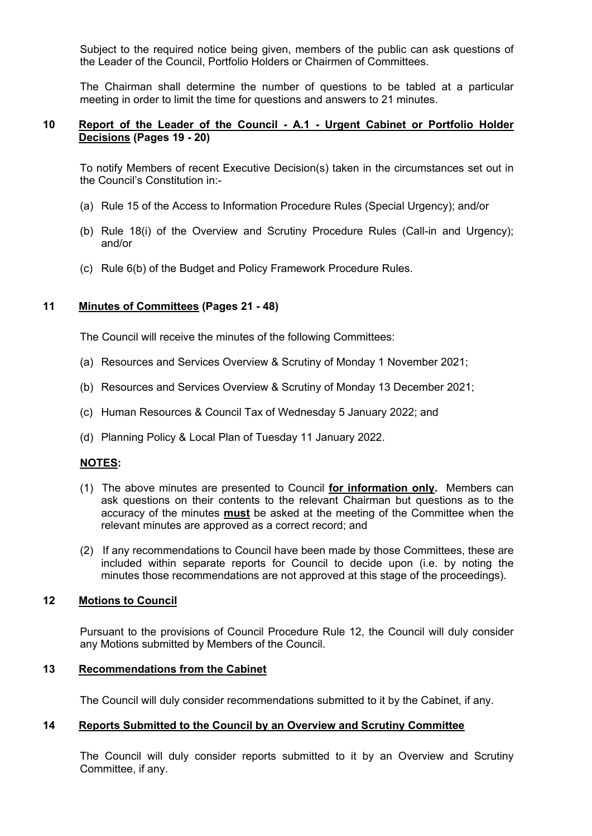Subject to the required notice being given, members of the public can ask questions of the Leader of the Council, Portfolio Holders or Chairmen of Committees.

The Chairman shall determine the number of questions to be tabled at a particular meeting in order to limit the time for questions and answers to 21 minutes.

#### **10 Report of the Leader of the Council - A.1 - Urgent Cabinet or Portfolio Holder Decisions (Pages 19 - 20)**

To notify Members of recent Executive Decision(s) taken in the circumstances set out in the Council's Constitution in:-

- (a) Rule 15 of the Access to Information Procedure Rules (Special Urgency); and/or
- (b) Rule 18(i) of the Overview and Scrutiny Procedure Rules (Call-in and Urgency); and/or
- (c) Rule 6(b) of the Budget and Policy Framework Procedure Rules.

#### **11 Minutes of Committees (Pages 21 - 48)**

The Council will receive the minutes of the following Committees:

- (a) Resources and Services Overview & Scrutiny of Monday 1 November 2021;
- (b) Resources and Services Overview & Scrutiny of Monday 13 December 2021;
- (c) Human Resources & Council Tax of Wednesday 5 January 2022; and
- (d) Planning Policy & Local Plan of Tuesday 11 January 2022.

## **NOTES:**

- (1) The above minutes are presented to Council **for information only.** Members can ask questions on their contents to the relevant Chairman but questions as to the accuracy of the minutes **must** be asked at the meeting of the Committee when the relevant minutes are approved as a correct record; and
- (2) If any recommendations to Council have been made by those Committees, these are included within separate reports for Council to decide upon (i.e. by noting the minutes those recommendations are not approved at this stage of the proceedings).

#### **12 Motions to Council**

Pursuant to the provisions of Council Procedure Rule 12, the Council will duly consider any Motions submitted by Members of the Council.

#### **13 Recommendations from the Cabinet**

The Council will duly consider recommendations submitted to it by the Cabinet, if any.

## **14 Reports Submitted to the Council by an Overview and Scrutiny Committee**

The Council will duly consider reports submitted to it by an Overview and Scrutiny Committee, if any.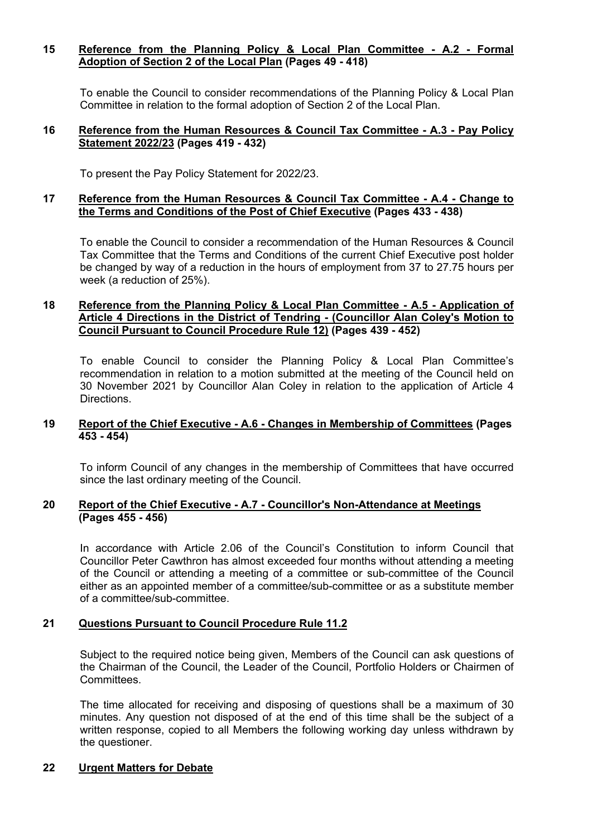#### **15 Reference from the Planning Policy & Local Plan Committee - A.2 - Formal Adoption of Section 2 of the Local Plan (Pages 49 - 418)**

To enable the Council to consider recommendations of the Planning Policy & Local Plan Committee in relation to the formal adoption of Section 2 of the Local Plan.

#### **16 Reference from the Human Resources & Council Tax Committee - A.3 - Pay Policy Statement 2022/23 (Pages 419 - 432)**

To present the Pay Policy Statement for 2022/23.

#### **17 Reference from the Human Resources & Council Tax Committee - A.4 - Change to the Terms and Conditions of the Post of Chief Executive (Pages 433 - 438)**

To enable the Council to consider a recommendation of the Human Resources & Council Tax Committee that the Terms and Conditions of the current Chief Executive post holder be changed by way of a reduction in the hours of employment from 37 to 27.75 hours per week (a reduction of 25%).

#### **18 Reference from the Planning Policy & Local Plan Committee - A.5 - Application of Article 4 Directions in the District of Tendring - (Councillor Alan Coley's Motion to Council Pursuant to Council Procedure Rule 12) (Pages 439 - 452)**

To enable Council to consider the Planning Policy & Local Plan Committee's recommendation in relation to a motion submitted at the meeting of the Council held on 30 November 2021 by Councillor Alan Coley in relation to the application of Article 4 Directions.

#### **19 Report of the Chief Executive - A.6 - Changes in Membership of Committees (Pages 453 - 454)**

To inform Council of any changes in the membership of Committees that have occurred since the last ordinary meeting of the Council.

## **20 Report of the Chief Executive - A.7 - Councillor's Non-Attendance at Meetings (Pages 455 - 456)**

In accordance with Article 2.06 of the Council's Constitution to inform Council that Councillor Peter Cawthron has almost exceeded four months without attending a meeting of the Council or attending a meeting of a committee or sub-committee of the Council either as an appointed member of a committee/sub-committee or as a substitute member of a committee/sub-committee.

## **21 Questions Pursuant to Council Procedure Rule 11.2**

Subject to the required notice being given, Members of the Council can ask questions of the Chairman of the Council, the Leader of the Council, Portfolio Holders or Chairmen of Committees.

The time allocated for receiving and disposing of questions shall be a maximum of 30 minutes. Any question not disposed of at the end of this time shall be the subject of a written response, copied to all Members the following working day unless withdrawn by the questioner.

## **22 Urgent Matters for Debate**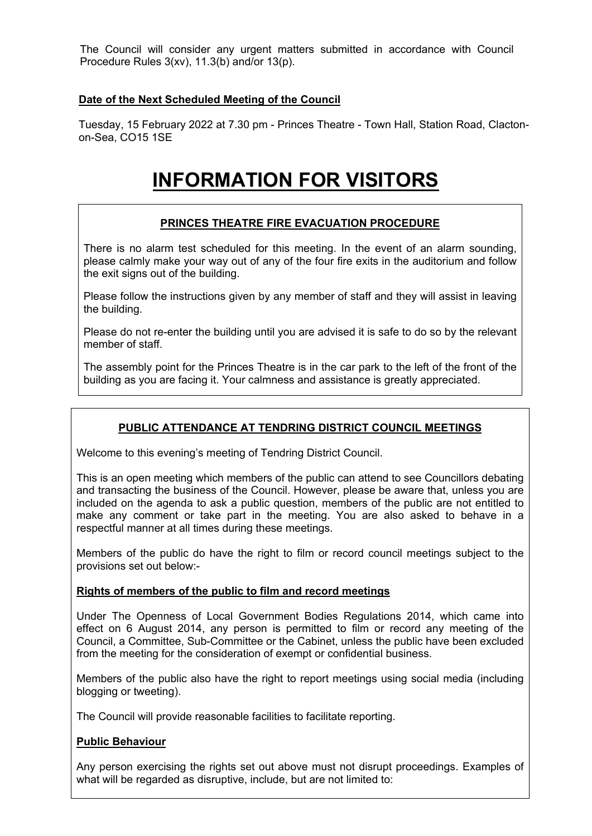The Council will consider any urgent matters submitted in accordance with Council Procedure Rules 3(xv), 11.3(b) and/or 13(p).

## **Date of the Next Scheduled Meeting of the Council**

Tuesday, 15 February 2022 at 7.30 pm - Princes Theatre - Town Hall, Station Road, Clactonon-Sea, CO15 1SE

# **INFORMATION FOR VISITORS**

# **PRINCES THEATRE FIRE EVACUATION PROCEDURE**

There is no alarm test scheduled for this meeting. In the event of an alarm sounding, please calmly make your way out of any of the four fire exits in the auditorium and follow the exit signs out of the building.

Please follow the instructions given by any member of staff and they will assist in leaving the building.

Please do not re-enter the building until you are advised it is safe to do so by the relevant member of staff.

The assembly point for the Princes Theatre is in the car park to the left of the front of the building as you are facing it. Your calmness and assistance is greatly appreciated.

# **PUBLIC ATTENDANCE AT TENDRING DISTRICT COUNCIL MEETINGS**

Welcome to this evening's meeting of Tendring District Council.

This is an open meeting which members of the public can attend to see Councillors debating and transacting the business of the Council. However, please be aware that, unless you are included on the agenda to ask a public question, members of the public are not entitled to make any comment or take part in the meeting. You are also asked to behave in a respectful manner at all times during these meetings.

Members of the public do have the right to film or record council meetings subject to the provisions set out below:-

## **Rights of members of the public to film and record meetings**

Under The Openness of Local Government Bodies Regulations 2014, which came into effect on 6 August 2014, any person is permitted to film or record any meeting of the Council, a Committee, Sub-Committee or the Cabinet, unless the public have been excluded from the meeting for the consideration of exempt or confidential business.

Members of the public also have the right to report meetings using social media (including blogging or tweeting).

The Council will provide reasonable facilities to facilitate reporting.

#### **Public Behaviour**

Any person exercising the rights set out above must not disrupt proceedings. Examples of what will be regarded as disruptive, include, but are not limited to: